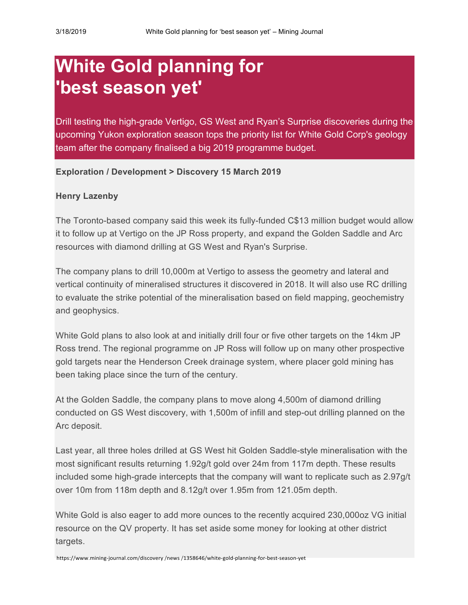## **White Gold planning for 'best season yet'**

Drill testing the high-grade Vertigo, GS West and Ryan's Surprise discoveries during the upcoming Yukon exploration season tops the priority list for White Gold Corp's geology team after the company finalised a big 2019 programme budget.

## **Exploration / Development > Discovery 15 March 2019**

## **Henry Lazenby**

The Toronto-based company said this week its fully-funded C\$13 million budget would allow it to follow up at Vertigo on the JP Ross property, and expand the Golden Saddle and Arc resources with diamond drilling at GS West and Ryan's Surprise.

The company plans to drill 10,000m at Vertigo to assess the geometry and lateral and vertical continuity of mineralised structures it discovered in 2018. It will also use RC drilling to evaluate the strike potential of the mineralisation based on field mapping, geochemistry and geophysics.

White Gold plans to also look at and initially drill four or five other targets on the 14km JP Ross trend. The regional programme on JP Ross will follow up on many other prospective gold targets near the Henderson Creek drainage system, where placer gold mining has been taking place since the turn of the century.

At the Golden Saddle, the company plans to move along 4,500m of diamond drilling conducted on GS West discovery, with 1,500m of infill and step-out drilling planned on the Arc deposit.

Last year, all three holes drilled at GS West hit Golden Saddle-style mineralisation with the most significant results returning 1.92g/t gold over 24m from 117m depth. These results included some high-grade intercepts that the company will want to replicate such as 2.97g/t over 10m from 118m depth and 8.12g/t over 1.95m from 121.05m depth.

White Gold is also eager to add more ounces to the recently acquired 230,000oz VG initial resource on the QV property. It has set aside some money for looking at other district targets.